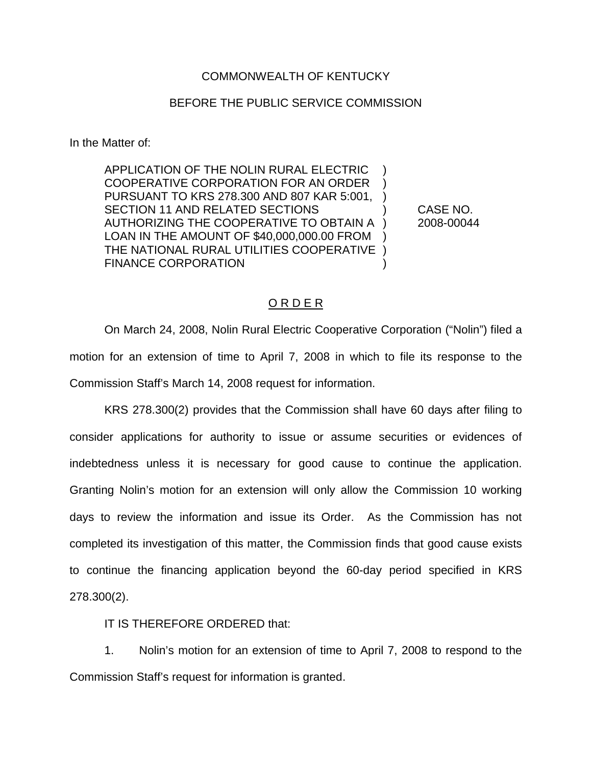## COMMONWEALTH OF KENTUCKY

## BEFORE THE PUBLIC SERVICE COMMISSION

In the Matter of:

APPLICATION OF THE NOLIN RURAL ELECTRIC ) COOPERATIVE CORPORATION FOR AN ORDER ) PURSUANT TO KRS 278.300 AND 807 KAR 5:001, ) SECTION 11 AND RELATED SECTIONS  $\qquad \qquad$  CASE NO. AUTHORIZING THE COOPERATIVE TO OBTAIN A ) 2008-00044 LOAN IN THE AMOUNT OF \$40,000,000.00 FROM ) THE NATIONAL RURAL UTILITIES COOPERATIVE ) FINANCE CORPORATION (1999)

## O R D E R

On March 24, 2008, Nolin Rural Electric Cooperative Corporation ("Nolin") filed a motion for an extension of time to April 7, 2008 in which to file its response to the Commission Staff's March 14, 2008 request for information.

KRS 278.300(2) provides that the Commission shall have 60 days after filing to consider applications for authority to issue or assume securities or evidences of indebtedness unless it is necessary for good cause to continue the application. Granting Nolin's motion for an extension will only allow the Commission 10 working days to review the information and issue its Order. As the Commission has not completed its investigation of this matter, the Commission finds that good cause exists to continue the financing application beyond the 60-day period specified in KRS 278.300(2).

IT IS THEREFORE ORDERED that:

1. Nolin's motion for an extension of time to April 7, 2008 to respond to the Commission Staff's request for information is granted.